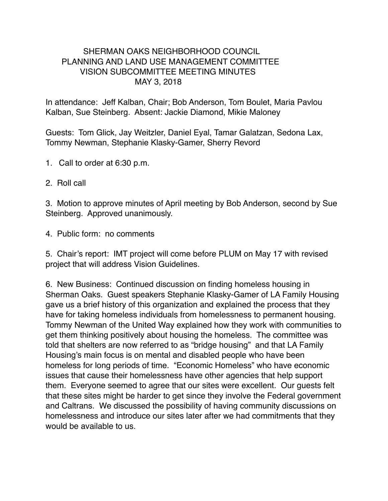## SHERMAN OAKS NEIGHBORHOOD COUNCIL PLANNING AND LAND USE MANAGEMENT COMMITTEE VISION SUBCOMMITTEE MEETING MINUTES MAY 3, 2018

In attendance: Jeff Kalban, Chair; Bob Anderson, Tom Boulet, Maria Pavlou Kalban, Sue Steinberg. Absent: Jackie Diamond, Mikie Maloney

Guests: Tom Glick, Jay Weitzler, Daniel Eyal, Tamar Galatzan, Sedona Lax, Tommy Newman, Stephanie Klasky-Gamer, Sherry Revord

- 1. Call to order at 6:30 p.m.
- 2. Roll call

3. Motion to approve minutes of April meeting by Bob Anderson, second by Sue Steinberg. Approved unanimously.

4. Public form: no comments

5. Chair's report: IMT project will come before PLUM on May 17 with revised project that will address Vision Guidelines.

6. New Business: Continued discussion on finding homeless housing in Sherman Oaks. Guest speakers Stephanie Klasky-Gamer of LA Family Housing gave us a brief history of this organization and explained the process that they have for taking homeless individuals from homelessness to permanent housing. Tommy Newman of the United Way explained how they work with communities to get them thinking positively about housing the homeless. The committee was told that shelters are now referred to as "bridge housing" and that LA Family Housing's main focus is on mental and disabled people who have been homeless for long periods of time. "Economic Homeless" who have economic issues that cause their homelessness have other agencies that help support them. Everyone seemed to agree that our sites were excellent. Our guests felt that these sites might be harder to get since they involve the Federal government and Caltrans. We discussed the possibility of having community discussions on homelessness and introduce our sites later after we had commitments that they would be available to us.